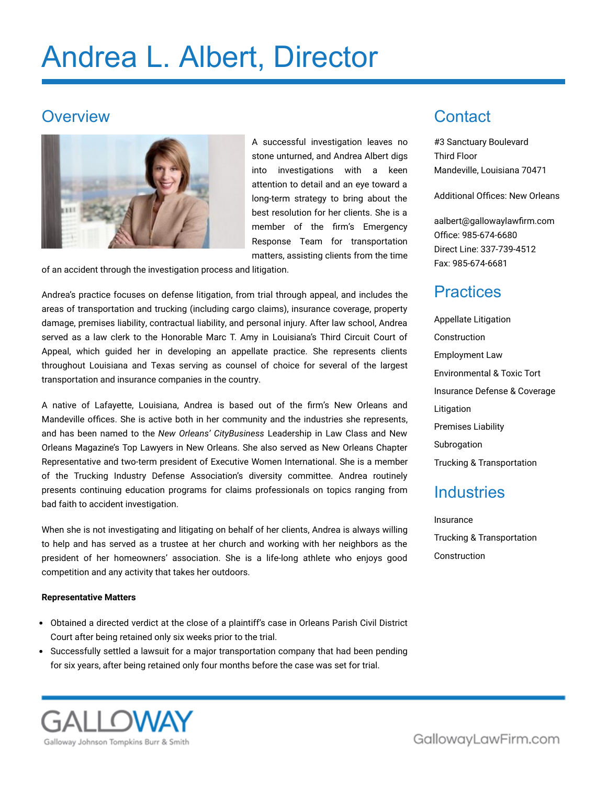# Andrea L. Albert, Director

#### **Overview**



A successful investigation leaves no stone unturned, and Andrea Albert digs into investigations with a keen attention to detail and an eye toward a long-term strategy to bring about the best resolution for her clients. She is a member of the firm's Emergency Response Team for transportation matters, assisting clients from the time

of an accident through the investigation process and litigation.

Andrea's practice focuses on defense litigation, from trial through appeal, and includes the areas of transportation and trucking (including cargo claims), insurance coverage, property damage, premises liability, contractual liability, and personal injury. After law school, Andrea served as a law clerk to the Honorable Marc T. Amy in Louisiana's Third Circuit Court of Appeal, which guided her in developing an appellate practice. She represents clients throughout Louisiana and Texas serving as counsel of choice for several of the largest transportation and insurance companies in the country.

A native of Lafayette, Louisiana, Andrea is based out of the firm's New Orleans and Mandeville offices. She is active both in her community and the industries she represents, and has been named to the *New Orleans' CityBusiness* Leadership in Law Class and New Orleans Magazine's Top Lawyers in New Orleans. She also served as New Orleans Chapter Representative and two-term president of Executive Women International. She is a member of the Trucking Industry Defense Association's diversity committee. Andrea routinely presents continuing education programs for claims professionals on topics ranging from bad faith to accident investigation.

When she is not investigating and litigating on behalf of her clients, Andrea is always willing to help and has served as a trustee at her church and working with her neighbors as the president of her homeowners' association. She is a life-long athlete who enjoys good competition and any activity that takes her outdoors.

#### **Representative Matters**

- Obtained a directed verdict at the close of a plaintiff's case in Orleans Parish Civil District Court after being retained only six weeks prior to the trial.
- Successfully settled a lawsuit for a major transportation company that had been pending for six years, after being retained only four months before the case was set for trial.

### **Contact**

#3 Sanctuary Boulevard Third Floor Mandeville, Louisiana 70471

Additional Offices: New Orleans

[aalbert@gallowaylawfirm.com](mailto:aalbert@gallowaylawfirm.com) Office: 985-674-6680 Direct Line: 337-739-4512 Fax: 985-674-6681

#### **Practices**

Appellate Litigation Construction Employment Law Environmental & Toxic Tort Insurance Defense & Coverage Litigation Premises Liability Subrogation Trucking & Transportation

#### **Industries**

Insurance Trucking & Transportation Construction